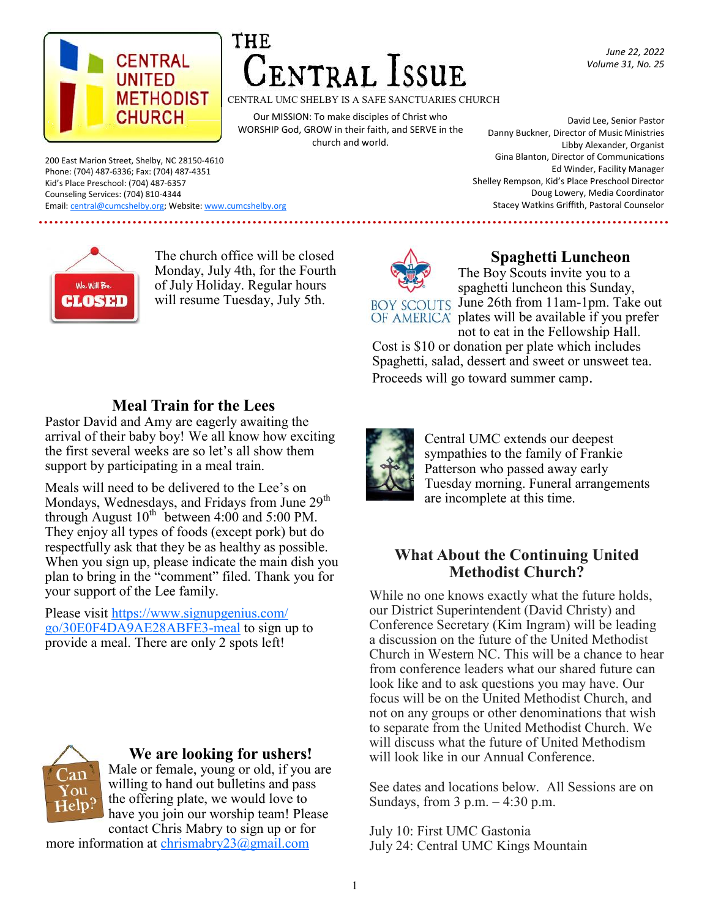

# NTRAL ISSUE

CENTRAL UMC SHELBY IS A SAFE SANCTUARIES CHURCH

Our MISSION: To make disciples of Christ who WORSHIP God, GROW in their faith, and SERVE in the church and world.

David Lee, Senior Pastor Danny Buckner, Director of Music Ministries Libby Alexander, Organist Gina Blanton, Director of Communications Ed Winder, Facility Manager Shelley Rempson, Kid's Place Preschool Director Doug Lowery, Media Coordinator Stacey Watkins Griffith, Pastoral Counselor

*June 22, 2022 Volume 31, No. 25*

200 East Marion Street, Shelby, NC 28150-4610 Phone: (704) 487-6336; Fax: (704) 487-4351 Kid's Place Preschool: (704) 487-6357 Counseling Services: (704) 810-4344 Email: [central@cumcshelby.org;](mailto:central@cumcshelby.org) Website: [www.cumcshelby.org](http://www.cumcshelby.org)



The church office will be closed Monday, July 4th, for the Fourth of July Holiday. Regular hours will resume Tuesday, July 5th.



# **Spaghetti Luncheon**

The Boy Scouts invite you to a spaghetti luncheon this Sunday, BOY SCOUTS June 26th from 11am-1pm. Take out OF AMERICA plates will be available if you prefer not to eat in the Fellowship Hall.

Cost is \$10 or donation per plate which includes Spaghetti, salad, dessert and sweet or unsweet tea. Proceeds will go toward summer camp.

# **Meal Train for the Lees**

Pastor David and Amy are eagerly awaiting the arrival of their baby boy! We all know how exciting the first several weeks are so let's all show them support by participating in a meal train.

Meals will need to be delivered to the Lee's on Mondays, Wednesdays, and Fridays from June 29<sup>th</sup> through August  $10^{th}$  between 4:00 and 5:00 PM. They enjoy all types of foods (except pork) but do respectfully ask that they be as healthy as possible. When you sign up, please indicate the main dish you plan to bring in the "comment" filed. Thank you for your support of the Lee family.

Please visit [https://www.signupgenius.com/](https://www.signupgenius.com/go/30E0F4DA9AE28ABFE3-meal) [go/30E0F4DA9AE28ABFE3-meal](https://www.signupgenius.com/go/30E0F4DA9AE28ABFE3-meal) to sign up to provide a meal. There are only 2 spots left!



# **We are looking for ushers!**

Male or female, young or old, if you are willing to hand out bulletins and pass the offering plate, we would love to have you join our worship team! Please contact Chris Mabry to sign up or for

more information at chrismabry  $23@g$  mail.com



Central UMC extends our deepest sympathies to the family of Frankie Patterson who passed away early Tuesday morning. Funeral arrangements are incomplete at this time.

## **What About the Continuing United Methodist Church?**

While no one knows exactly what the future holds, our District Superintendent (David Christy) and Conference Secretary (Kim Ingram) will be leading a discussion on the future of the United Methodist Church in Western NC. This will be a chance to hear from conference leaders what our shared future can look like and to ask questions you may have. Our focus will be on the United Methodist Church, and not on any groups or other denominations that wish to separate from the United Methodist Church. We will discuss what the future of United Methodism will look like in our Annual Conference.

See dates and locations below. All Sessions are on Sundays, from  $3$  p.m.  $-4:30$  p.m.

July 10: First UMC Gastonia July 24: Central UMC Kings Mountain

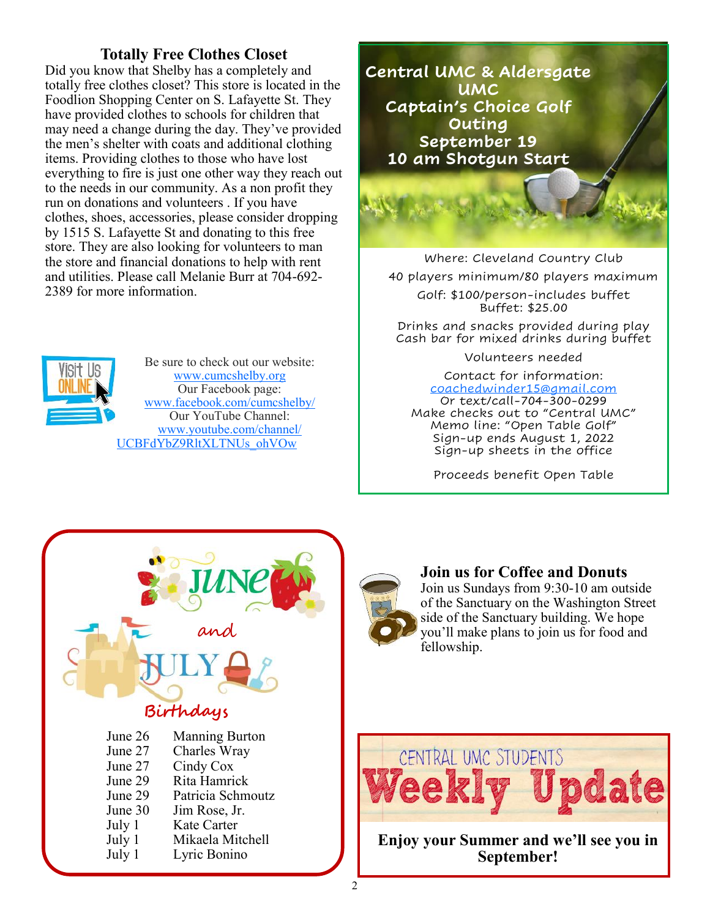## **Totally Free Clothes Closet**

Did you know that Shelby has a completely and totally free clothes closet? This store is located in the Foodlion Shopping Center on S. Lafayette St. They have provided clothes to schools for children that may need a change during the day. They've provided the men's shelter with coats and additional clothing items. Providing clothes to those who have lost everything to fire is just one other way they reach out to the needs in our community. As a non profit they run on donations and volunteers . If you have clothes, shoes, accessories, please consider dropping by 1515 S. Lafayette St and donating to this free store. They are also looking for volunteers to man the store and financial donations to help with rent and utilities. Please call Melanie Burr at 704-692- 2389 for more information.



Be sure to check out our website: [www.cumcshelby.org](http://www.cumcshelby.org) Our Facebook page: [www.facebook.com/cumcshelby/](https://www.facebook.com/cumcshelby/) Our YouTube Channel: [www.youtube.com/channel/](https://www.youtube.com/channel/UCBFdYbZ9RltXLTNUs_ohVOw) [UCBFdYbZ9RltXLTNUs\\_ohVOw](https://www.youtube.com/channel/UCBFdYbZ9RltXLTNUs_ohVOw)



Where: Cleveland Country Club 40 players minimum/80 players maximum Golf: \$100/person-includes buffet Buffet: \$25.00

Drinks and snacks provided during play Cash bar for mixed drinks during buffet

Volunteers needed

Contact for information: [coachedwinder15@gmail.com](mailto:info.-coachedwinder15@gmail.com) Or text/call-704-300-0299 Make checks out to "Central UMC" Memo line: "Open Table Golf" Sign-up ends August 1, 2022 Sign-up sheets in the office

Proceeds benefit Open Table



# **Join us for Coffee and Donuts**

Join us Sundays from 9:30-10 am outside of the Sanctuary on the Washington Street side of the Sanctuary building. We hope you'll make plans to join us for food and fellowship.



**Enjoy your Summer and we'll see you in September!**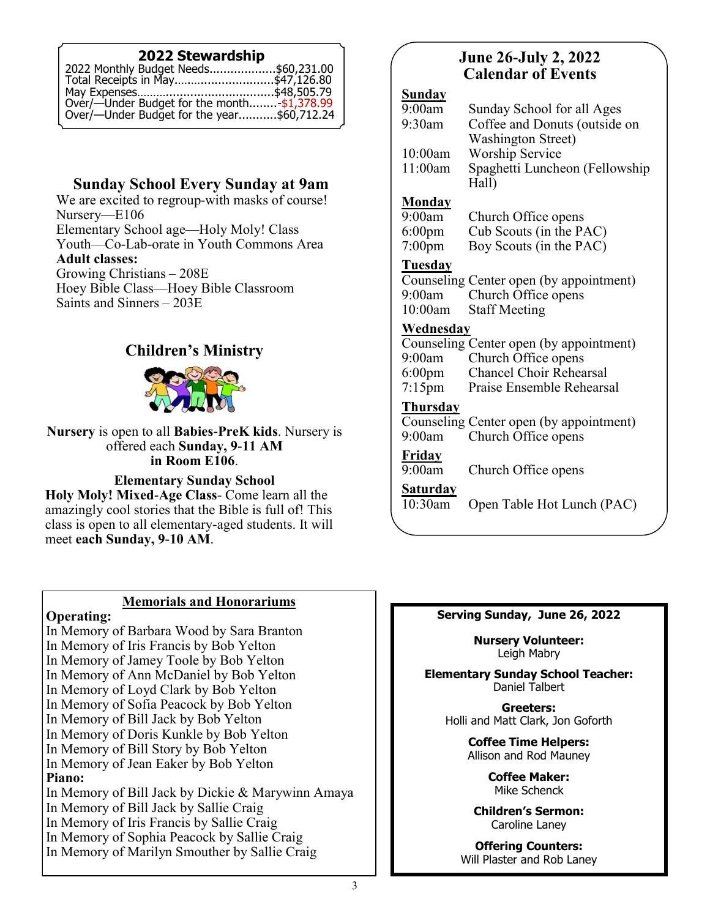## **2022 Stewardship**

| 2022 Monthly Budget Needs\$60,231.00                                                      |  |
|-------------------------------------------------------------------------------------------|--|
| Total Receipts in May\$47,126.80                                                          |  |
|                                                                                           |  |
|                                                                                           |  |
| Over/—Under Budget for the month-\$1,378.99<br>Over/—Under Budget for the year\$60,712.24 |  |

# **Sunday School Every Sunday at 9am**

We are excited to regroup-with masks of course! Nursery—E106 Elementary School age—Holy Moly! Class Youth—Co-Lab-orate in Youth Commons Area **Adult classes:** Growing Christians – 208E Hoey Bible Class—Hoey Bible Classroom Saints and Sinners – 203E

# **Children's Ministry**



#### **Nursery** is open to all **Babies-PreK kids**. Nursery is offered each **Sunday, 9-11 AM in Room E106**.

#### **Elementary Sunday School**

**Holy Moly! Mixed-Age Class**- Come learn all the amazingly cool stories that the Bible is full of! This class is open to all elementary-aged students. It will meet **each Sunday, 9-10 AM**.

## **Memorials and Honorariums**

## **Operating:**

In Memory of Barbara Wood by Sara Branton In Memory of Iris Francis by Bob Yelton In Memory of Jamey Toole by Bob Yelton In Memory of Ann McDaniel by Bob Yelton In Memory of Loyd Clark by Bob Yelton In Memory of Sofia Peacock by Bob Yelton In Memory of Bill Jack by Bob Yelton In Memory of Doris Kunkle by Bob Yelton In Memory of Bill Story by Bob Yelton In Memory of Jean Eaker by Bob Yelton **Piano:** In Memory of Bill Jack by Dickie & Marywinn Amaya In Memory of Bill Jack by Sallie Craig In Memory of Iris Francis by Sallie Craig In Memory of Sophia Peacock by Sallie Craig In Memory of Marilyn Smouther by Sallie Craig

# **June 26-July 2, 2022 Calendar of Events**

#### **Sunday**

| 9:00am  | Sunday School for all Ages     |
|---------|--------------------------------|
| 9:30am  | Coffee and Donuts (outside on  |
|         | <b>Washington Street</b> )     |
| 10:00am | <b>Worship Service</b>         |
| 11:00am | Spaghetti Luncheon (Fellowship |
|         | Hall)                          |

#### **Monday**

9:00am Church Office opens 6:00pm Cub Scouts (in the PAC) 7:00pm Boy Scouts (in the PAC)

## **Tuesday**

Counseling Center open (by appointment) 9:00am Church Office opens<br>10:00am Staff Meeting **Staff Meeting** 

## **Wednesday**

Counseling Center open (by appointment)<br>9:00am Church Office opens 9:00am Church Office opens<br>6:00pm Chancel Choir Rehea Chancel Choir Rehearsal 7:15pm Praise Ensemble Rehearsal

## **Thursday**

Counseling Center open (by appointment) 9:00am Church Office opens

**Friday** 

9:00am Church Office opens

## **Saturday**

10:30am Open Table Hot Lunch (PAC)

#### **Serving Sunday, June 26, 2022**

**Nursery Volunteer:** Leigh Mabry

**Elementary Sunday School Teacher:** Daniel Talbert

> **Greeters:** Holli and Matt Clark, Jon Goforth

> > **Coffee Time Helpers:** Allison and Rod Mauney

> > > **Coffee Maker:** Mike Schenck

**Children's Sermon:** Caroline Laney

**Offering Counters:** Will Plaster and Rob Laney